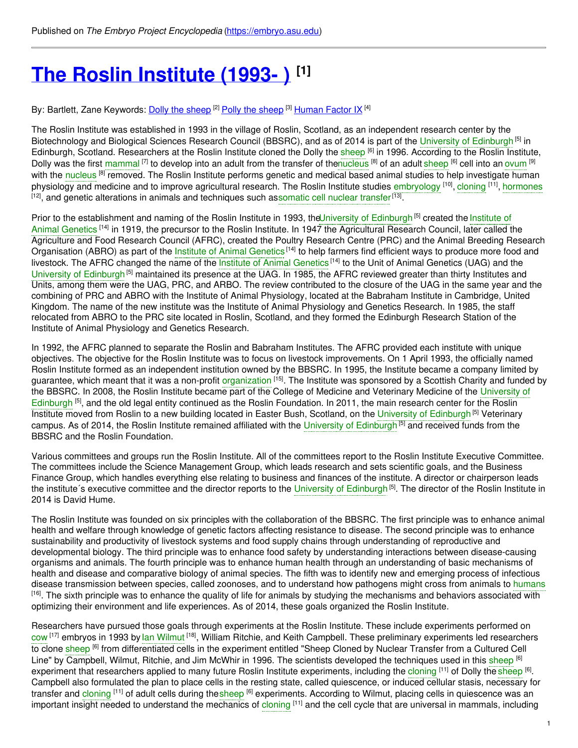# **The Roslin [Institute](https://embryo.asu.edu/pages/roslin-institute-1993) (1993- ) [1]**

By: Bartlett, Zane Keywords: <u>Dolly the [sheep](https://embryo.asu.edu/keywords/polly-sheep) [2] Polly the sheep</u> [3] <u>[Human](https://embryo.asu.edu/keywords/human-factor-ix) Factor IX</u> [4]

The Roslin Institute was established in 1993 in the village of Roslin, Scotland, as an independent research center by the Biotechnology and Biological Sciences Research Council (BBSRC), and as of 2014 is part of the University of [Edinburgh](https://embryo.asu.edu/search?text=University%20of%20Edinburgh)<sup>[5]</sup> in Edinburgh, Scotland. Researchers at the Roslin Institute cloned the Dolly the [sheep](https://embryo.asu.edu/search?text=sheep) <sup>[6]</sup> in 1996. According to the Roslin Institute, Dolly was the first [mammal](https://embryo.asu.edu/search?text=mammal) <sup>[7]</sup> to develop into an adult from the transfer of th[enucleus](https://embryo.asu.edu/search?text=nucleus) [8] of an adult [sheep](https://embryo.asu.edu/search?text=sheep) [6] cell into an [ovum](https://embryo.asu.edu/search?text=ovum) [9] with the [nucleus](https://embryo.asu.edu/search?text=nucleus) <sup>[8]</sup> removed. The Roslin Institute performs genetic and medical based animal studies to help investigate human physiology and medicine and to improve agricultural research. The Roslin Institute studies [embryology](https://embryo.asu.edu/search?text=embryology) [10], [cloning](https://embryo.asu.edu/search?text=cloning) [11], [hormones](https://embryo.asu.edu/search?text=hormones) <sup>[12]</sup>, and genetic alterations in animals and techniques such as[somatic](https://embryo.asu.edu/search?text=somatic%20cell%20nuclear%20transfer) cell nuclear transfer<sup>[13]</sup>.

Prior to the [establishment](https://embryo.asu.edu/search?text=Institute%20of%20Animal%20Genetics) and naming of the Roslin Institute in 1993, theUniversity of [Edinburgh](https://embryo.asu.edu/search?text=University%20of%20Edinburgh)<sup>[5]</sup> created the Institute of Animal Genetics <sup>[14]</sup> in 1919, the precursor to the Roslin Institute. In 1947 the Agricultural Research Council, later called the Agriculture and Food Research Council (AFRC), created the Poultry Research Centre (PRC) and the Animal Breeding Research Organisation (ABRO) as part of the Institute of Animal [Genetics](https://embryo.asu.edu/search?text=Institute%20of%20Animal%20Genetics)<sup>[14]</sup> to help farmers find efficient ways to produce more food and livestock. The AFRC changed the name of the Institute of Animal [Genetics](https://embryo.asu.edu/search?text=Institute%20of%20Animal%20Genetics)<sup>[14]</sup> to the Unit of Animal Genetics (UAG) and the University of [Edinburgh](https://embryo.asu.edu/search?text=University%20of%20Edinburgh)<sup>[5]</sup> maintained its presence at the UAG. In 1985, the AFRC reviewed greater than thirty Institutes and Units, among them were the UAG, PRC, and ARBO. The review contributed to the closure of the UAG in the same year and the combining of PRC and ABRO with the Institute of Animal Physiology, located at the Babraham Institute in Cambridge, United Kingdom. The name of the new institute was the Institute of Animal Physiology and Genetics Research. In 1985, the staff relocated from ABRO to the PRC site located in Roslin, Scotland, and they formed the Edinburgh Research Station of the Institute of Animal Physiology and Genetics Research.

In 1992, the AFRC planned to separate the Roslin and Babraham Institutes. The AFRC provided each institute with unique objectives. The objective for the Roslin Institute was to focus on livestock improvements. On 1 April 1993, the officially named Roslin Institute formed as an independent institution owned by the BBSRC. In 1995, the Institute became a company limited by guarantee, which meant that it was a non-profit [organization](https://embryo.asu.edu/search?text=organization) <sup>[15]</sup>. The Institute was sponsored by a Scottish Charity and funded by the BBSRC. In 2008, the Roslin Institute became part of the College of Medicine and Veterinary Medicine of the University of Edinburgh <sup>[5]</sup>, and the old legal entity continued as the Roslin [Foundation.](https://embryo.asu.edu/search?text=University%20of%20Edinburgh) In 2011, the main research center for the Roslin Institute moved from Roslin to a new building located in Easter Bush, Scotland, on the University of [Edinburgh](https://embryo.asu.edu/search?text=University%20of%20Edinburgh)<sup>[5]</sup> Veterinary campus. As of 2014, the Roslin Institute remained affiliated with the University of [Edinburgh](https://embryo.asu.edu/search?text=University%20of%20Edinburgh)<sup>[5]</sup> and received funds from the BBSRC and the Roslin Foundation.

Various committees and groups run the Roslin Institute. All of the committees report to the Roslin Institute Executive Committee. The committees include the Science Management Group, which leads research and sets scientific goals, and the Business Finance Group, which handles everything else relating to business and finances of the institute. A director or chairperson leads the institute´s executive committee and the director reports to the University of [Edinburgh](https://embryo.asu.edu/search?text=University%20of%20Edinburgh)<sup>[5]</sup>. The director of the Roslin Institute in 2014 is David Hume.

The Roslin Institute was founded on six principles with the collaboration of the BBSRC. The first principle was to enhance animal health and welfare through knowledge of genetic factors affecting resistance to disease. The second principle was to enhance sustainability and productivity of livestock systems and food supply chains through understanding of reproductive and developmental biology. The third principle was to enhance food safety by understanding interactions between disease-causing organisms and animals. The fourth principle was to enhance human health through an understanding of basic mechanisms of health and disease and comparative biology of animal species. The fifth was to identify new and emerging process of infectious disease transmission between species, called zoonoses, and to understand how pathogens might cross from animals to [humans](https://embryo.asu.edu/search?text=humans) <sup>[16]</sup>. The sixth principle was to enhance the quality of life for animals by studying the mechanisms and behaviors associated with optimizing their environment and life experiences. As of 2014, these goals organized the Roslin Institute.

Researchers have pursued those goals through experiments at the Roslin Institute. These include experiments performed on [cow](https://embryo.asu.edu/search?text=cow) <sup>[17]</sup> embryos in 1993 by lan [Wilmut](https://embryo.asu.edu/search?text=Ian%20Wilmut) <sup>[18]</sup>, William Ritchie, and Keith Campbell. These preliminary experiments led researchers to clone <mark>[sheep](https://embryo.asu.edu/search?text=sheep) <sup>[6]</sup> from differentiated cells in the experiment entitled "Sheep Cloned by Nuclear Transfer from a Cultured Cell</mark> Line" by Campbell, Wilmut, Ritchie, and Jim McWhir in 1996. The scientists developed the techniques used in this [sheep](https://embryo.asu.edu/search?text=sheep) <sup>[6]</sup> experiment that researchers applied to many future Roslin Institute experiments, including the [cloning](https://embryo.asu.edu/search?text=cloning) <sup>[11]</sup> of Dolly the [sheep](https://embryo.asu.edu/search?text=sheep) <sup>[6]</sup>. Campbell also formulated the plan to place cells in the resting state, called quiescence, or induced cellular stasis, necessary for transfer and [cloning](https://embryo.asu.edu/search?text=cloning) <sup>[11]</sup> of adult cells during the[sheep](https://embryo.asu.edu/search?text=sheep) <sup>[6]</sup> experiments. According to Wilmut, placing cells in quiescence was an important insight needed to understand the mechanics of [cloning](https://embryo.asu.edu/search?text=cloning) [11] and the cell cycle that are universal in mammals, including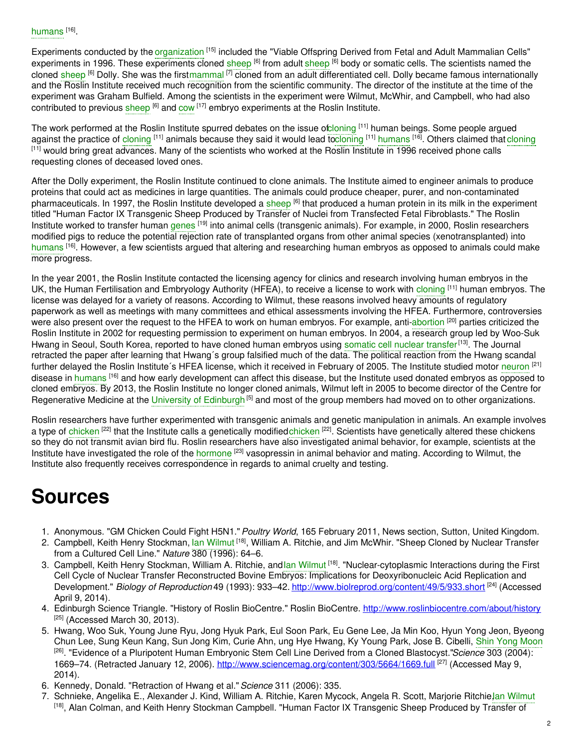Experiments conducted by the [organization](https://embryo.asu.edu/search?text=organization) <sup>[15]</sup> included the "Viable Offspring Derived from Fetal and Adult Mammalian Cells" experiments in 1996. These experiments cloned [sheep](https://embryo.asu.edu/search?text=sheep) <sup>[6]</sup> from adult sheep <sup>[6]</sup> body or somatic cells. The scientists named the cloned [sheep](https://embryo.asu.edu/search?text=sheep) <sup>[6]</sup> Dolly. She was the firs[tmammal](https://embryo.asu.edu/search?text=mammal) <sup>[7]</sup> cloned from an adult differentiated cell. Dolly became famous internationally and the Roslin Institute received much recognition from the scientific community. The director of the institute at the time of the experiment was Graham Bulfield. Among the scientists in the experiment were Wilmut, McWhir, and Campbell, who had also contributed to previous [sheep](https://embryo.asu.edu/search?text=sheep) <sup>[6]</sup> and [cow](https://embryo.asu.edu/search?text=cow) <sup>[17]</sup> embryo experiments at the Roslin Institute.

The work performed at the Roslin Institute spurred debates on the issue o[fcloning](https://embryo.asu.edu/search?text=cloning) <sup>[11]</sup> human beings. Some people argued against the practice of [cloning](https://embryo.asu.edu/search?text=cloning) <sup>[11]</sup> animals because they said it would lead t[ocloning](https://embryo.asu.edu/search?text=cloning) <sup>[11]</sup> [humans](https://embryo.asu.edu/search?text=humans) <sup>[16]</sup>. Others claimed that cloning [11] would bring great advances. Many of the scientists who worked at the Roslin Institute in 1996 received phone calls requesting clones of deceased loved ones.

After the Dolly experiment, the Roslin Institute continued to clone animals. The Institute aimed to engineer animals to produce proteins that could act as medicines in large quantities. The animals could produce cheaper, purer, and non-contaminated pharmaceuticals. In 1997, the Roslin Institute developed a [sheep](https://embryo.asu.edu/search?text=sheep) <sup>[6]</sup> that produced a human protein in its milk in the experiment titled "Human Factor IX Transgenic Sheep Produced by Transfer of Nuclei from Transfected Fetal Fibroblasts." The Roslin Institute worked to transfer human [genes](https://embryo.asu.edu/search?text=genes) <sup>[19]</sup> into animal cells (transgenic animals). For example, in 2000, Roslin researchers modified pigs to reduce the potential rejection rate of transplanted organs from other animal species (xenotransplanted) into [humans](https://embryo.asu.edu/search?text=humans) <sup>[16]</sup>. However, a few scientists argued that altering and researching human embryos as opposed to animals could make more progress.

In the year 2001, the Roslin Institute contacted the licensing agency for clinics and research involving human embryos in the UK, the Human Fertilisation and Embryology Authority (HFEA), to receive a license to work with [cloning](https://embryo.asu.edu/search?text=cloning) <sup>[11]</sup> human embryos. The license was delayed for a variety of reasons. According to Wilmut, these reasons involved heavy amounts of regulatory paperwork as well as meetings with many committees and ethical assessments involving the HFEA. Furthermore, controversies were also present over the request to the HFEA to work on human embryos. For example, anti[-abortion](https://embryo.asu.edu/search?text=abortion) <sup>[20]</sup> parties criticized the Roslin Institute in 2002 for requesting permission to experiment on human embryos. In 2004, a research group led by Woo-Suk Hwang in Seoul, South Korea, reported to have cloned human embryos using [somatic](https://embryo.asu.edu/search?text=somatic%20cell%20nuclear%20transfer) cell nuclear transfer<sup>[13]</sup>. The Journal retracted the paper after learning that Hwang´s group falsified much of the data. The political reaction from the Hwang scandal further delayed the Roslin Institute´s HFEA license, which it received in February of 2005. The Institute studied motor [neuron](https://embryo.asu.edu/search?text=neuron) <sup>[21]</sup> disease in [humans](https://embryo.asu.edu/search?text=humans) <sup>[16]</sup> and how early development can affect this disease, but the Institute used donated embryos as opposed to cloned embryos. By 2013, the Roslin Institute no longer cloned animals, Wilmut left in 2005 to become director of the Centre for Regenerative Medicine at the University of [Edinburgh](https://embryo.asu.edu/search?text=University%20of%20Edinburgh)<sup>[5]</sup> and most of the group members had moved on to other organizations.

Roslin researchers have further experimented with transgenic animals and genetic manipulation in animals. An example involves a type of [chicken](https://embryo.asu.edu/search?text=chicken) <sup>[22]</sup> that the Institute calls a genetically modifiedchicken <sup>[22]</sup>. Scientists have genetically altered these chickens so they do not transmit avian bird flu. Roslin researchers have also investigated animal behavior, for example, scientists at the Institute have investigated the role of the [hormone](https://embryo.asu.edu/search?text=hormone) <sup>[23]</sup> vasopressin in animal behavior and mating. According to Wilmut, the Institute also frequently receives correspondence in regards to animal cruelty and testing.

## **Sources**

- 1. Anonymous. "GM Chicken Could Fight H5N1."*Poultry World*, 165 February 2011, News section, Sutton, United Kingdom.
- 2. Campbell, Keith Henry Stockman, lan [Wilmut](https://embryo.asu.edu/search?text=Ian%20Wilmut) <sup>[18]</sup>, William A. Ritchie, and Jim McWhir. "Sheep Cloned by Nuclear Transfer from a Cultured Cell Line." *Nature* 380 (1996): 64–6.
- 3. Campbell, Keith Henry Stockman, William A. Ritchie, andlan [Wilmut](https://embryo.asu.edu/search?text=Ian%20Wilmut) <sup>[18]</sup>. "Nuclear-cytoplasmic Interactions during the First Cell Cycle of Nuclear Transfer Reconstructed Bovine Embryos: Implications for Deoxyribonucleic Acid Replication and Development." *Biology of Reproduction* 49 (1993): 933–42. <http://www.biolreprod.org/content/49/5/933.short> [24] (Accessed April 9, 2014).
- 4. Edinburgh Science Triangle. "History of Roslin BioCentre." Roslin BioCentre. <http://www.roslinbiocentre.com/about/history>  $[25]$  (Accessed March 30, 2013).
- 5. Hwang, Woo Suk, Young June Ryu, Jong Hyuk Park, Eul Soon Park, Eu Gene Lee, Ja Min Koo, Hyun Yong Jeon, Byeong Chun Lee, Sung Keun Kang, Sun Jong Kim, Curie Ahn, ung Hye Hwang, Ky Young Park, Jose B. Cibelli, Shin Yong [Moon](https://embryo.asu.edu/search?text=Shin%20Yong%20Moon) [26] . "Evidence of a Pluripotent Human Embryonic Stem Cell Line Derived from a Cloned Blastocyst."*Science* 303 (2004): 1669–74. (Retracted January 12, 2006). <http://www.sciencemag.org/content/303/5664/1669.full><sup>[27]</sup> (Accessed May 9, 2014).
- 6. Kennedy, Donald. "Retraction of Hwang et al."*Science* 311 (2006): 335.
- 7. Schnieke, Angelika E., Alexander J. Kind, William A. Ritchie, Karen Mycock, Angela R. Scott, Marjorie Ritchie,lan [Wilmut](https://embryo.asu.edu/search?text=Ian%20Wilmut) [<sup>18]</sup>, Alan Colman, and Keith Henry Stockman Campbell. "Human Factor IX Transgenic Sheep Produced by Transfer of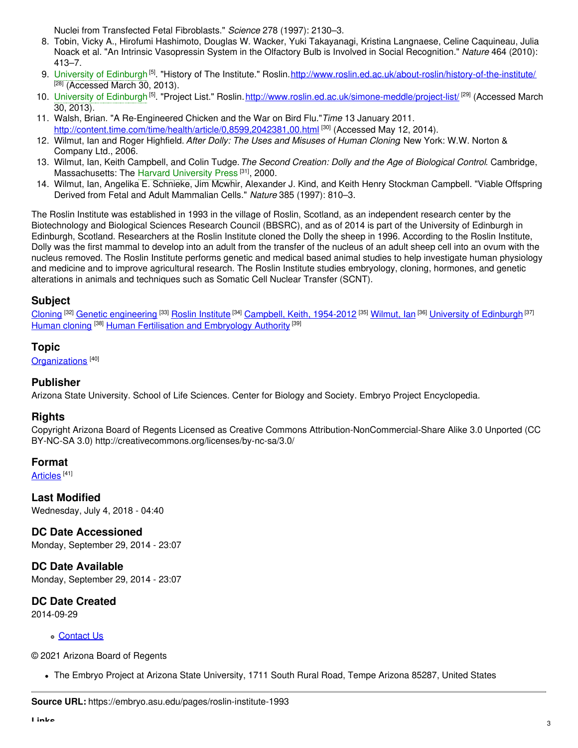Nuclei from Transfected Fetal Fibroblasts." *Science* 278 (1997): 2130–3.

- 8. Tobin, Vicky A., Hirofumi Hashimoto, Douglas W. Wacker, Yuki Takayanagi, Kristina Langnaese, Celine Caquineau, Julia Noack et al. "An Intrinsic Vasopressin System in the Olfactory Bulb is Involved in Social Recognition." *Nature* 464 (2010): 413–7.
- 9. University of [Edinburgh](https://embryo.asu.edu/search?text=University%20of%20Edinburgh)<sup>[5]</sup>. "History of The Institute." Roslin.<u><http://www.roslin.ed.ac.uk/about-roslin/history-of-the-institute/></u>  $[28]$  (Accessed March 30, 2013).
- 10. University of [Edinburgh](https://embryo.asu.edu/search?text=University%20of%20Edinburgh)<sup> [5]</sup>. "Project List." Roslin. <u><http://www.roslin.ed.ac.uk/simone-meddle/project-list/></u> <sup>[29]</sup> (Accessed March 30, 2013).
- 11. Walsh, Brian. "A Re-Engineered Chicken and the War on Bird Flu."*Time* 13 January 2011. <http://content.time.com/time/health/article/0,8599,2042381,00.html> [30] (Accessed May 12, 2014).
- 12. Wilmut, Ian and Roger Highfield. *After Dolly: The Uses and Misuses of Human Cloning*. New York: W.W. Norton & Company Ltd., 2006.
- 13. Wilmut, Ian, Keith Campbell, and Colin Tudge.*The Second Creation: Dolly and the Age of Biological Control*. Cambridge, Massachusetts: The Harvard [University](https://embryo.asu.edu/search?text=Harvard%20University%20Press) Press<sup>[31]</sup>, 2000.
- 14. Wilmut, Ian, Angelika E. Schnieke, Jim Mcwhir, Alexander J. Kind, and Keith Henry Stockman Campbell. "Viable Offspring Derived from Fetal and Adult Mammalian Cells." *Nature* 385 (1997): 810–3.

The Roslin Institute was established in 1993 in the village of Roslin, Scotland, as an independent research center by the Biotechnology and Biological Sciences Research Council (BBSRC), and as of 2014 is part of the University of Edinburgh in Edinburgh, Scotland. Researchers at the Roslin Institute cloned the Dolly the sheep in 1996. According to the Roslin Institute, Dolly was the first mammal to develop into an adult from the transfer of the nucleus of an adult sheep cell into an ovum with the nucleus removed. The Roslin Institute performs genetic and medical based animal studies to help investigate human physiology and medicine and to improve agricultural research. The Roslin Institute studies embryology, cloning, hormones, and genetic alterations in animals and techniques such as Somatic Cell Nuclear Transfer (SCNT).

#### **Subject**

[Cloning](https://embryo.asu.edu/library-congress-subject-headings/cloning) <sup>[32]</sup> Genetic [engineering](https://embryo.asu.edu/library-congress-subject-headings/genetic-engineering) <sup>[33]</sup> Roslin [Institute](https://embryo.asu.edu/library-congress-subject-headings/roslin-institute) <sup>[34]</sup> Campbell, Keith, [1954-2012](https://embryo.asu.edu/library-congress-subject-headings/campbell-keith-1954-2012) <sup>[35]</sup> [Wilmut,](https://embryo.asu.edu/library-congress-subject-headings/wilmut-ian) Ian <sup>[36]</sup> University of [Edinburgh](https://embryo.asu.edu/library-congress-subject-headings/university-edinburgh) <sup>[37]</sup> [Human](https://embryo.asu.edu/library-congress-subject-headings/human-cloning) cloning <sup>[38]</sup> Human Fertilisation and [Embryology](https://embryo.asu.edu/library-congress-subject-headings/human-fertilisation-and-embryology-authority) Authority <sup>[39]</sup>

#### **Topic**

[Organizations](https://embryo.asu.edu/topics/organizations)<sup>[40]</sup>

#### **Publisher**

Arizona State University. School of Life Sciences. Center for Biology and Society. Embryo Project Encyclopedia.

#### **Rights**

Copyright Arizona Board of Regents Licensed as Creative Commons Attribution-NonCommercial-Share Alike 3.0 Unported (CC BY-NC-SA 3.0) http://creativecommons.org/licenses/by-nc-sa/3.0/

#### **Format**

<u>[Articles](https://embryo.asu.edu/formats/articles)</u> <sup>[41]</sup>

**Last Modified** Wednesday, July 4, 2018 - 04:40

**DC Date Accessioned** Monday, September 29, 2014 - 23:07

**DC Date Available** Monday, September 29, 2014 - 23:07

### **DC Date Created**

2014-09-29

[Contact](https://embryo.asu.edu/contact) Us

© 2021 Arizona Board of Regents

The Embryo Project at Arizona State University, 1711 South Rural Road, Tempe Arizona 85287, United States